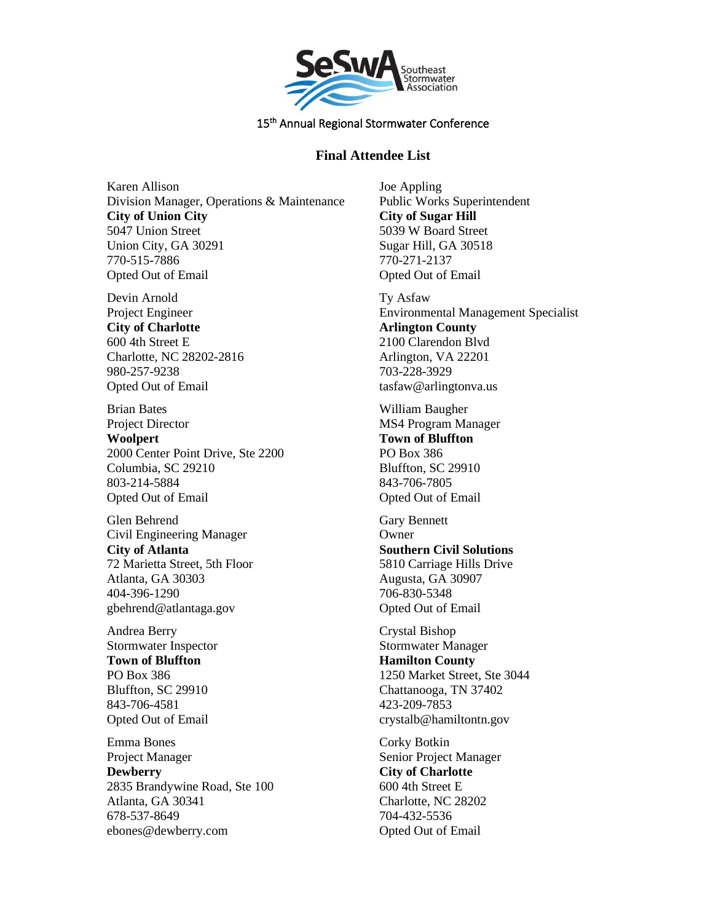

# **Final Attendee List**

Karen Allison Division Manager, Operations & Maintenance **City of Union City** 5047 Union Street Union City, GA 30291 770-515-7886 Opted Out of Email

Devin Arnold Project Engineer **City of Charlotte** 600 4th Street E Charlotte, NC 28202-2816 980-257-9238 Opted Out of Email

Brian Bates Project Director **Woolpert** 2000 Center Point Drive, Ste 2200 Columbia, SC 29210 803-214-5884 Opted Out of Email

Glen Behrend Civil Engineering Manager **City of Atlanta** 72 Marietta Street, 5th Floor Atlanta, GA 30303 404-396-1290 gbehrend@atlantaga.gov

Andrea Berry Stormwater Inspector **Town of Bluffton** PO Box 386 Bluffton, SC 29910 843-706-4581 Opted Out of Email

Emma Bones Project Manager **Dewberry** 2835 Brandywine Road, Ste 100 Atlanta, GA 30341 678-537-8649 ebones@dewberry.com

Joe Appling Public Works Superintendent **City of Sugar Hill** 5039 W Board Street Sugar Hill, GA 30518 770-271-2137 Opted Out of Email

Ty Asfaw Environmental Management Specialist **Arlington County** 2100 Clarendon Blvd Arlington, VA 22201 703-228-3929 tasfaw@arlingtonva.us

William Baugher MS4 Program Manager **Town of Bluffton** PO Box 386 Bluffton, SC 29910 843-706-7805 Opted Out of Email

Gary Bennett **Owner Southern Civil Solutions** 5810 Carriage Hills Drive Augusta, GA 30907 706-830-5348 Opted Out of Email

Crystal Bishop Stormwater Manager **Hamilton County** 1250 Market Street, Ste 3044 Chattanooga, TN 37402 423-209-7853 crystalb@hamiltontn.gov

Corky Botkin Senior Project Manager **City of Charlotte** 600 4th Street E Charlotte, NC 28202 704-432-5536 Opted Out of Email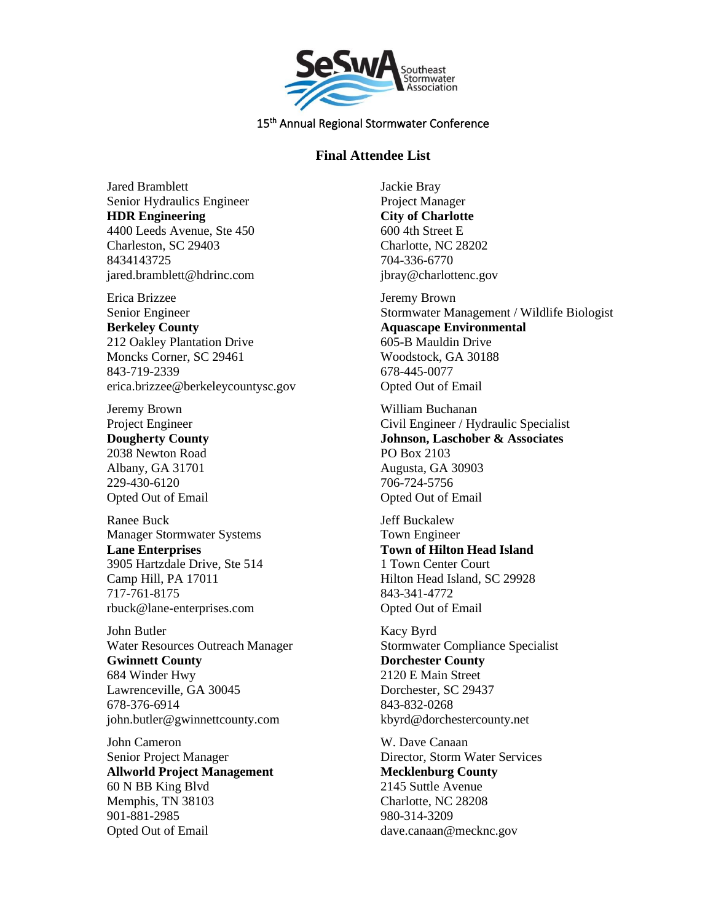

## **Final Attendee List**

Jared Bramblett Senior Hydraulics Engineer **HDR Engineering** 4400 Leeds Avenue, Ste 450 Charleston, SC 29403 8434143725 jared.bramblett@hdrinc.com

Erica Brizzee Senior Engineer **Berkeley County** 212 Oakley Plantation Drive Moncks Corner, SC 29461 843-719-2339 erica.brizzee@berkeleycountysc.gov

Jeremy Brown Project Engineer **Dougherty County** 2038 Newton Road Albany, GA 31701 229-430-6120 Opted Out of Email

Ranee Buck Manager Stormwater Systems **Lane Enterprises** 3905 Hartzdale Drive, Ste 514 Camp Hill, PA 17011 717-761-8175 rbuck@lane-enterprises.com

John Butler Water Resources Outreach Manager **Gwinnett County** 684 Winder Hwy Lawrenceville, GA 30045 678-376-6914 john.butler@gwinnettcounty.com

John Cameron Senior Project Manager **Allworld Project Management** 60 N BB King Blvd Memphis, TN 38103 901-881-2985 Opted Out of Email

Jackie Bray Project Manager **City of Charlotte** 600 4th Street E Charlotte, NC 28202 704-336-6770 jbray@charlottenc.gov

Jeremy Brown Stormwater Management / Wildlife Biologist **Aquascape Environmental** 605-B Mauldin Drive Woodstock, GA 30188 678-445-0077 Opted Out of Email

William Buchanan Civil Engineer / Hydraulic Specialist **Johnson, Laschober & Associates** PO Box 2103 Augusta, GA 30903 706-724-5756 Opted Out of Email

Jeff Buckalew Town Engineer **Town of Hilton Head Island** 1 Town Center Court Hilton Head Island, SC 29928 843-341-4772 Opted Out of Email

Kacy Byrd Stormwater Compliance Specialist **Dorchester County** 2120 E Main Street Dorchester, SC 29437 843-832-0268 kbyrd@dorchestercounty.net

W. Dave Canaan Director, Storm Water Services **Mecklenburg County** 2145 Suttle Avenue Charlotte, NC 28208 980-314-3209 dave.canaan@mecknc.gov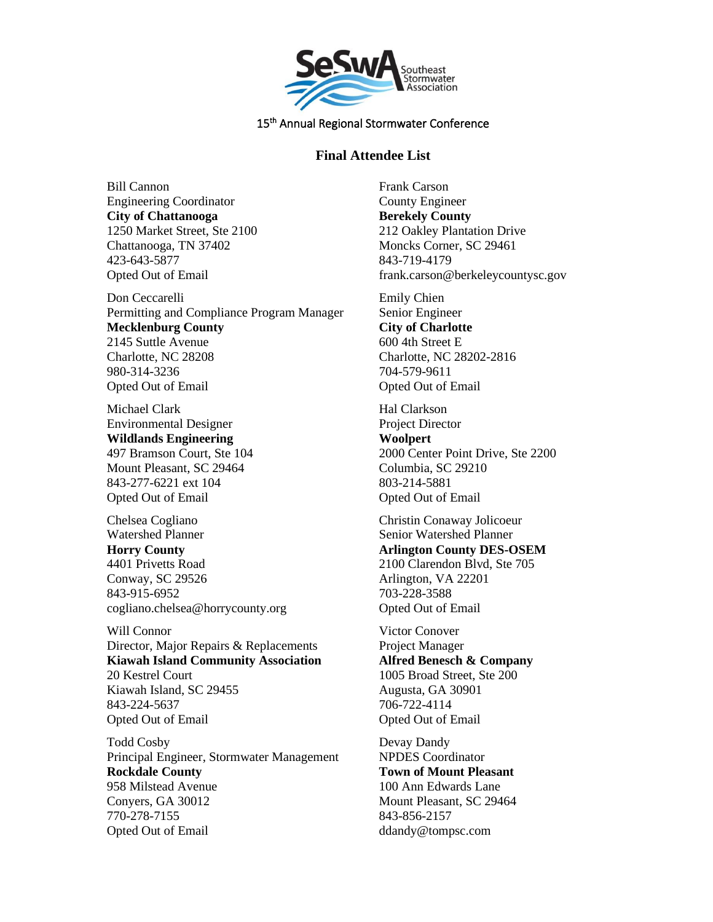

## **Final Attendee List**

Bill Cannon Engineering Coordinator **City of Chattanooga** 1250 Market Street, Ste 2100 Chattanooga, TN 37402 423-643-5877 Opted Out of Email

Don Ceccarelli Permitting and Compliance Program Manager **Mecklenburg County** 2145 Suttle Avenue Charlotte, NC 28208 980-314-3236 Opted Out of Email

Michael Clark Environmental Designer **Wildlands Engineering** 497 Bramson Court, Ste 104 Mount Pleasant, SC 29464 843-277-6221 ext 104 Opted Out of Email

Chelsea Cogliano Watershed Planner **Horry County** 4401 Privetts Road Conway, SC 29526 843-915-6952 cogliano.chelsea@horrycounty.org

Will Connor Director, Major Repairs & Replacements **Kiawah Island Community Association** 20 Kestrel Court Kiawah Island, SC 29455 843-224-5637 Opted Out of Email

Todd Cosby Principal Engineer, Stormwater Management **Rockdale County** 958 Milstead Avenue Conyers, GA 30012 770-278-7155 Opted Out of Email

Frank Carson County Engineer **Berekely County** 212 Oakley Plantation Drive Moncks Corner, SC 29461 843-719-4179 frank.carson@berkeleycountysc.gov

Emily Chien Senior Engineer **City of Charlotte** 600 4th Street E Charlotte, NC 28202-2816 704-579-9611 Opted Out of Email

Hal Clarkson Project Director **Woolpert** 2000 Center Point Drive, Ste 2200 Columbia, SC 29210 803-214-5881 Opted Out of Email

Christin Conaway Jolicoeur Senior Watershed Planner **Arlington County DES-OSEM** 2100 Clarendon Blvd, Ste 705 Arlington, VA 22201 703-228-3588 Opted Out of Email

Victor Conover Project Manager **Alfred Benesch & Company** 1005 Broad Street, Ste 200 Augusta, GA 30901 706-722-4114 Opted Out of Email

Devay Dandy NPDES Coordinator **Town of Mount Pleasant** 100 Ann Edwards Lane Mount Pleasant, SC 29464 843-856-2157 ddandy@tompsc.com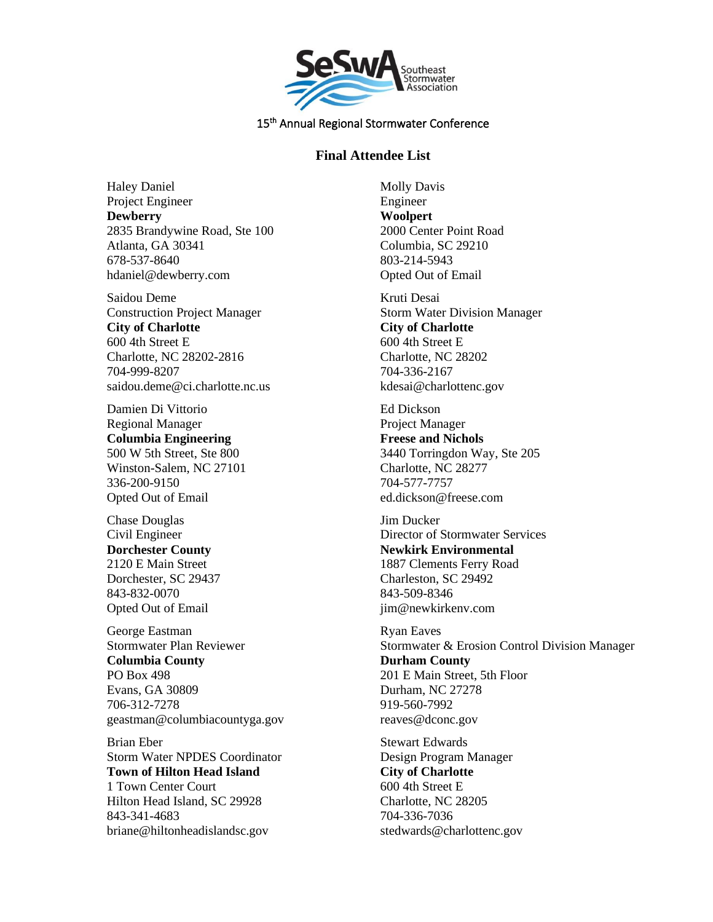

## **Final Attendee List**

Haley Daniel Project Engineer **Dewberry** 2835 Brandywine Road, Ste 100 Atlanta, GA 30341 678-537-8640 hdaniel@dewberry.com

Saidou Deme Construction Project Manager **City of Charlotte** 600 4th Street E Charlotte, NC 28202-2816 704-999-8207 saidou.deme@ci.charlotte.nc.us

Damien Di Vittorio Regional Manager **Columbia Engineering** 500 W 5th Street, Ste 800 Winston-Salem, NC 27101 336-200-9150 Opted Out of Email

Chase Douglas Civil Engineer **Dorchester County** 2120 E Main Street Dorchester, SC 29437 843-832-0070 Opted Out of Email

George Eastman Stormwater Plan Reviewer **Columbia County** PO Box 498 Evans, GA 30809 706-312-7278 geastman@columbiacountyga.gov

Brian Eber Storm Water NPDES Coordinator **Town of Hilton Head Island** 1 Town Center Court Hilton Head Island, SC 29928 843-341-4683 briane@hiltonheadislandsc.gov

Molly Davis Engineer **Woolpert** 2000 Center Point Road Columbia, SC 29210 803-214-5943 Opted Out of Email

Kruti Desai Storm Water Division Manager **City of Charlotte** 600 4th Street E Charlotte, NC 28202 704-336-2167 kdesai@charlottenc.gov

Ed Dickson Project Manager **Freese and Nichols** 3440 Torringdon Way, Ste 205 Charlotte, NC 28277 704-577-7757 ed.dickson@freese.com

Jim Ducker Director of Stormwater Services **Newkirk Environmental** 1887 Clements Ferry Road Charleston, SC 29492 843-509-8346 jim@newkirkenv.com

Ryan Eaves Stormwater & Erosion Control Division Manager **Durham County** 201 E Main Street, 5th Floor Durham, NC 27278 919-560-7992 reaves@dconc.gov

Stewart Edwards Design Program Manager **City of Charlotte** 600 4th Street E Charlotte, NC 28205 704-336-7036 stedwards@charlottenc.gov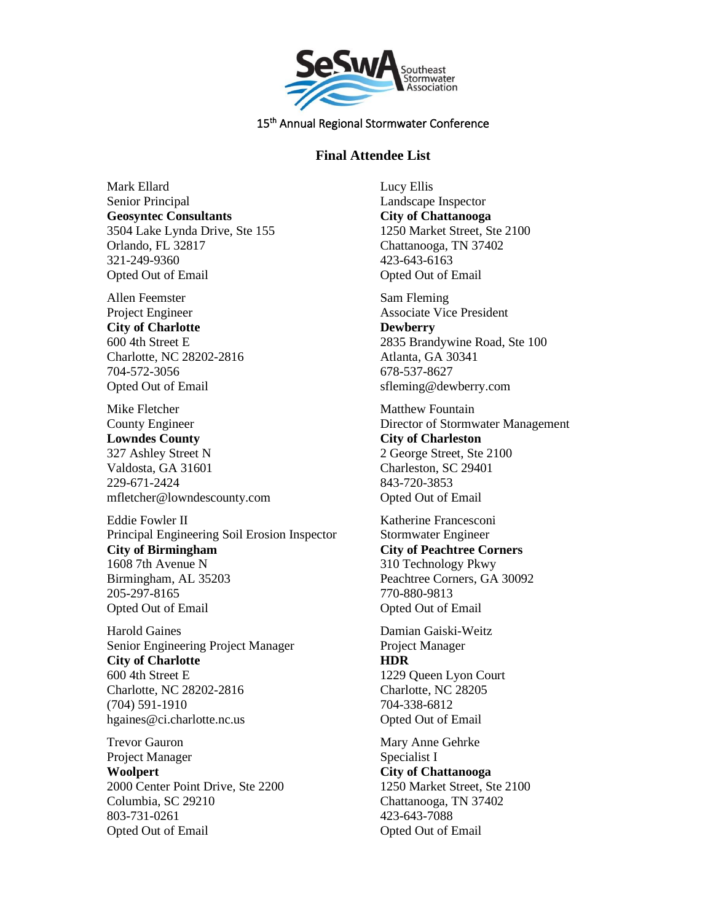

# **Final Attendee List**

Mark Ellard Senior Principal **Geosyntec Consultants** 3504 Lake Lynda Drive, Ste 155 Orlando, FL 32817 321-249-9360 Opted Out of Email

Allen Feemster Project Engineer **City of Charlotte** 600 4th Street E Charlotte, NC 28202-2816 704-572-3056 Opted Out of Email

Mike Fletcher County Engineer **Lowndes County** 327 Ashley Street N Valdosta, GA 31601 229-671-2424 mfletcher@lowndescounty.com

Eddie Fowler II Principal Engineering Soil Erosion Inspector **City of Birmingham** 1608 7th Avenue N Birmingham, AL 35203 205-297-8165 Opted Out of Email

Harold Gaines Senior Engineering Project Manager **City of Charlotte** 600 4th Street E Charlotte, NC 28202-2816 (704) 591-1910 hgaines@ci.charlotte.nc.us

Trevor Gauron Project Manager **Woolpert** 2000 Center Point Drive, Ste 2200 Columbia, SC 29210 803-731-0261 Opted Out of Email

Lucy Ellis Landscape Inspector **City of Chattanooga** 1250 Market Street, Ste 2100 Chattanooga, TN 37402 423-643-6163 Opted Out of Email

Sam Fleming Associate Vice President **Dewberry** 2835 Brandywine Road, Ste 100 Atlanta, GA 30341 678-537-8627 sfleming@dewberry.com

Matthew Fountain Director of Stormwater Management **City of Charleston** 2 George Street, Ste 2100 Charleston, SC 29401 843-720-3853 Opted Out of Email

Katherine Francesconi Stormwater Engineer **City of Peachtree Corners** 310 Technology Pkwy Peachtree Corners, GA 30092 770-880-9813 Opted Out of Email

Damian Gaiski-Weitz Project Manager **HDR** 1229 Queen Lyon Court Charlotte, NC 28205 704-338-6812 Opted Out of Email

Mary Anne Gehrke Specialist I **City of Chattanooga** 1250 Market Street, Ste 2100 Chattanooga, TN 37402 423-643-7088 Opted Out of Email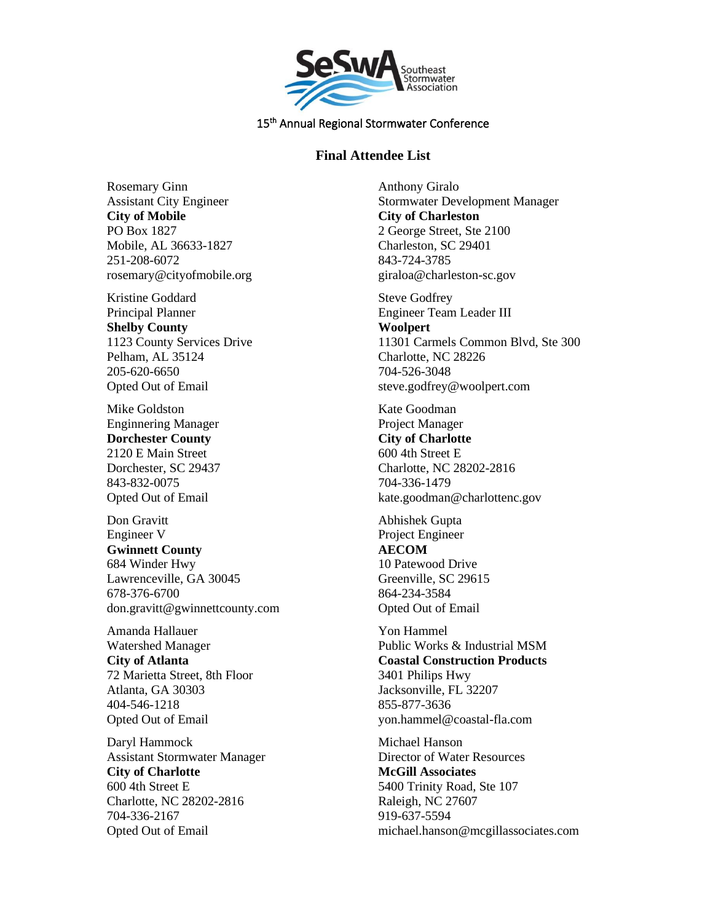

### **Final Attendee List**

Rosemary Ginn Assistant City Engineer **City of Mobile** PO Box 1827 Mobile, AL 36633-1827 251-208-6072 rosemary@cityofmobile.org

Kristine Goddard Principal Planner **Shelby County** 1123 County Services Drive Pelham, AL 35124 205-620-6650 Opted Out of Email

Mike Goldston Enginnering Manager **Dorchester County** 2120 E Main Street Dorchester, SC 29437 843-832-0075 Opted Out of Email

Don Gravitt Engineer V **Gwinnett County** 684 Winder Hwy Lawrenceville, GA 30045 678-376-6700 don.gravitt@gwinnettcounty.com

Amanda Hallauer Watershed Manager **City of Atlanta** 72 Marietta Street, 8th Floor Atlanta, GA 30303 404-546-1218 Opted Out of Email

Daryl Hammock Assistant Stormwater Manager **City of Charlotte** 600 4th Street E Charlotte, NC 28202-2816 704-336-2167 Opted Out of Email

Anthony Giralo Stormwater Development Manager **City of Charleston** 2 George Street, Ste 2100 Charleston, SC 29401 843-724-3785 giraloa@charleston-sc.gov

Steve Godfrey Engineer Team Leader III **Woolpert** 11301 Carmels Common Blvd, Ste 300 Charlotte, NC 28226 704-526-3048 steve.godfrey@woolpert.com

Kate Goodman Project Manager **City of Charlotte** 600 4th Street E Charlotte, NC 28202-2816 704-336-1479 kate.goodman@charlottenc.gov

Abhishek Gupta Project Engineer **AECOM** 10 Patewood Drive Greenville, SC 29615 864-234-3584 Opted Out of Email

Yon Hammel Public Works & Industrial MSM **Coastal Construction Products** 3401 Philips Hwy Jacksonville, FL 32207 855-877-3636 yon.hammel@coastal-fla.com

Michael Hanson Director of Water Resources **McGill Associates** 5400 Trinity Road, Ste 107 Raleigh, NC 27607 919-637-5594 michael.hanson@mcgillassociates.com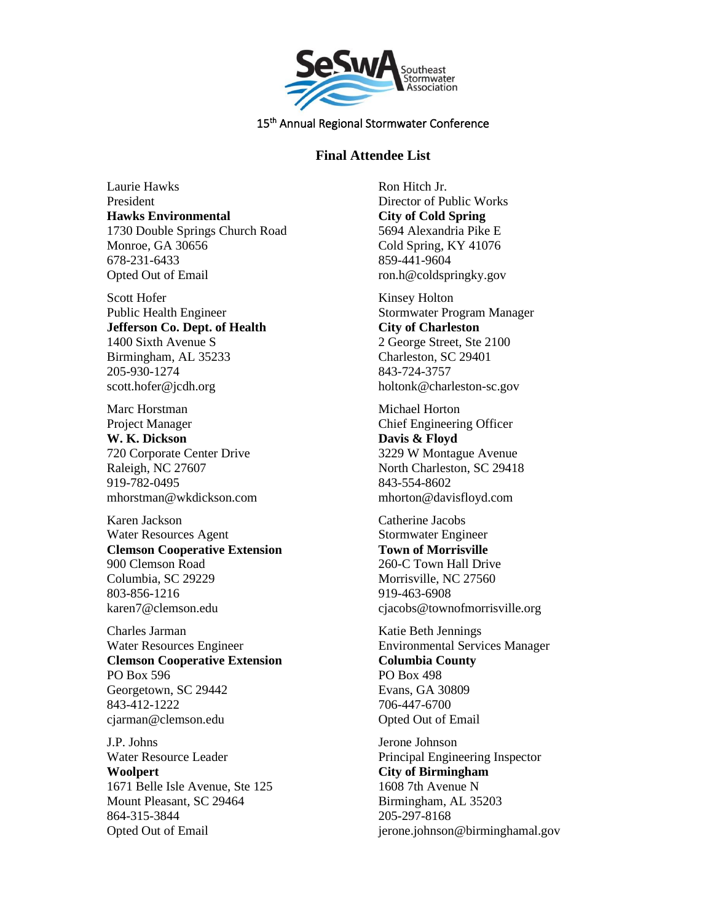

### **Final Attendee List**

Laurie Hawks President **Hawks Environmental** 1730 Double Springs Church Road Monroe, GA 30656 678-231-6433 Opted Out of Email

Scott Hofer Public Health Engineer **Jefferson Co. Dept. of Health** 1400 Sixth Avenue S Birmingham, AL 35233 205-930-1274 scott.hofer@jcdh.org

Marc Horstman Project Manager **W. K. Dickson** 720 Corporate Center Drive Raleigh, NC 27607 919-782-0495 mhorstman@wkdickson.com

Karen Jackson Water Resources Agent **Clemson Cooperative Extension** 900 Clemson Road Columbia, SC 29229 803-856-1216 karen7@clemson.edu

Charles Jarman Water Resources Engineer **Clemson Cooperative Extension** PO Box 596 Georgetown, SC 29442 843-412-1222 cjarman@clemson.edu

J.P. Johns Water Resource Leader **Woolpert** 1671 Belle Isle Avenue, Ste 125 Mount Pleasant, SC 29464 864-315-3844 Opted Out of Email

Ron Hitch Jr. Director of Public Works **City of Cold Spring** 5694 Alexandria Pike E Cold Spring, KY 41076 859-441-9604 ron.h@coldspringky.gov

Kinsey Holton Stormwater Program Manager **City of Charleston** 2 George Street, Ste 2100 Charleston, SC 29401 843-724-3757 holtonk@charleston-sc.gov

Michael Horton Chief Engineering Officer **Davis & Floyd** 3229 W Montague Avenue North Charleston, SC 29418 843-554-8602 mhorton@davisfloyd.com

Catherine Jacobs Stormwater Engineer **Town of Morrisville** 260-C Town Hall Drive Morrisville, NC 27560 919-463-6908 cjacobs@townofmorrisville.org

Katie Beth Jennings Environmental Services Manager **Columbia County** PO Box 498 Evans, GA 30809 706-447-6700 Opted Out of Email

Jerone Johnson Principal Engineering Inspector **City of Birmingham** 1608 7th Avenue N Birmingham, AL 35203 205-297-8168 jerone.johnson@birminghamal.gov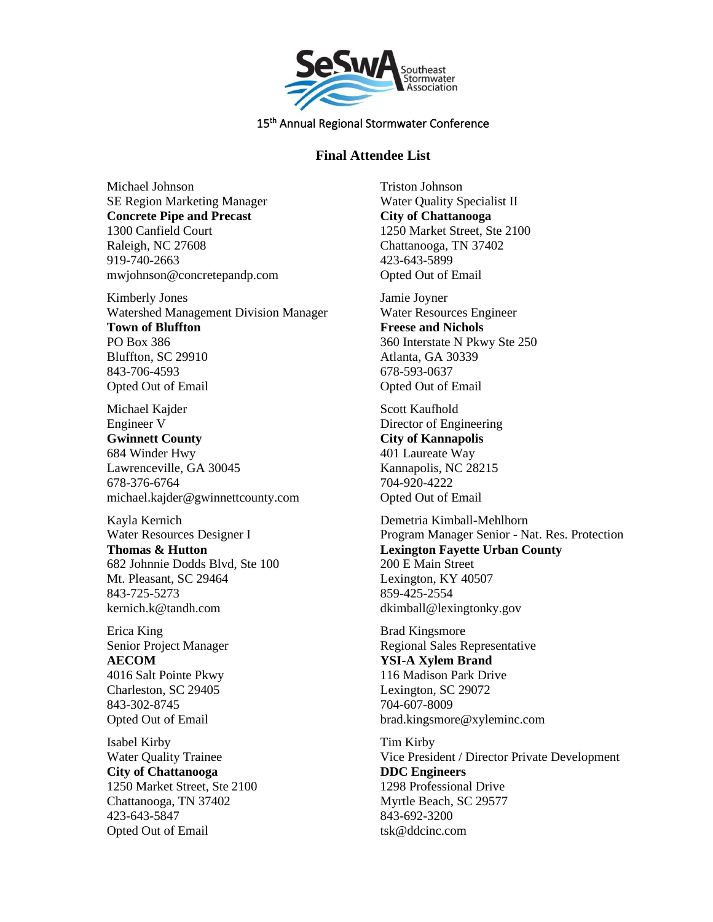

## **Final Attendee List**

Michael Johnson SE Region Marketing Manager **Concrete Pipe and Precast** 1300 Canfield Court Raleigh, NC 27608 919-740-2663 mwjohnson@concretepandp.com

Kimberly Jones Watershed Management Division Manager **Town of Bluffton** PO Box 386 Bluffton, SC 29910 843-706-4593 Opted Out of Email

Michael Kajder Engineer V **Gwinnett County** 684 Winder Hwy Lawrenceville, GA 30045 678-376-6764 michael.kajder@gwinnettcounty.com

Kayla Kernich Water Resources Designer I **Thomas & Hutton** 682 Johnnie Dodds Blvd, Ste 100 Mt. Pleasant, SC 29464 843-725-5273 kernich.k@tandh.com

Erica King Senior Project Manager **AECOM** 4016 Salt Pointe Pkwy Charleston, SC 29405 843-302-8745 Opted Out of Email

Isabel Kirby Water Quality Trainee **City of Chattanooga** 1250 Market Street, Ste 2100 Chattanooga, TN 37402 423-643-5847 Opted Out of Email

Triston Johnson Water Quality Specialist II **City of Chattanooga** 1250 Market Street, Ste 2100 Chattanooga, TN 37402 423-643-5899 Opted Out of Email

Jamie Joyner Water Resources Engineer **Freese and Nichols** 360 Interstate N Pkwy Ste 250 Atlanta, GA 30339 678-593-0637 Opted Out of Email

Scott Kaufhold Director of Engineering **City of Kannapolis** 401 Laureate Way Kannapolis, NC 28215 704-920-4222 Opted Out of Email

Demetria Kimball-Mehlhorn Program Manager Senior - Nat. Res. Protection **Lexington Fayette Urban County** 200 E Main Street Lexington, KY 40507 859-425-2554 dkimball@lexingtonky.gov

Brad Kingsmore Regional Sales Representative **YSI-A Xylem Brand** 116 Madison Park Drive Lexington, SC 29072 704-607-8009 brad.kingsmore@xyleminc.com

Tim Kirby Vice President / Director Private Development **DDC Engineers** 1298 Professional Drive Myrtle Beach, SC 29577 843-692-3200 tsk@ddcinc.com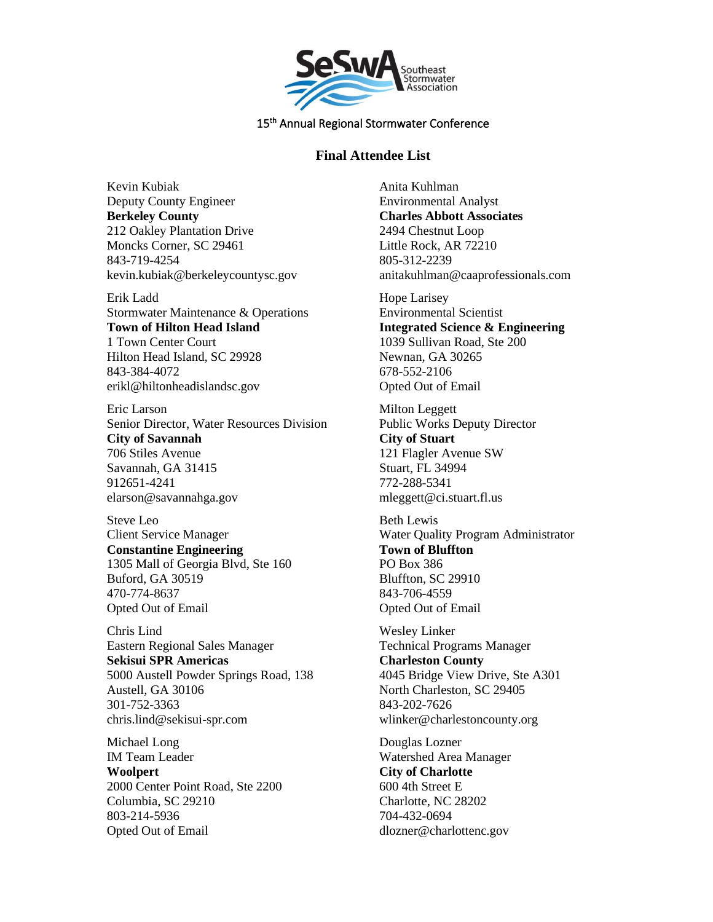

## **Final Attendee List**

Kevin Kubiak Deputy County Engineer **Berkeley County** 212 Oakley Plantation Drive Moncks Corner, SC 29461 843-719-4254 kevin.kubiak@berkeleycountysc.gov

Erik Ladd Stormwater Maintenance & Operations **Town of Hilton Head Island** 1 Town Center Court Hilton Head Island, SC 29928 843-384-4072 erikl@hiltonheadislandsc.gov

Eric Larson Senior Director, Water Resources Division **City of Savannah** 706 Stiles Avenue Savannah, GA 31415 912651-4241 elarson@savannahga.gov

Steve Leo Client Service Manager **Constantine Engineering** 1305 Mall of Georgia Blvd, Ste 160 Buford, GA 30519 470-774-8637 Opted Out of Email

Chris Lind Eastern Regional Sales Manager **Sekisui SPR Americas** 5000 Austell Powder Springs Road, 138 Austell, GA 30106 301-752-3363 chris.lind@sekisui-spr.com

Michael Long IM Team Leader **Woolpert** 2000 Center Point Road, Ste 2200 Columbia, SC 29210 803-214-5936 Opted Out of Email

Anita Kuhlman Environmental Analyst **Charles Abbott Associates** 2494 Chestnut Loop Little Rock, AR 72210 805-312-2239 anitakuhlman@caaprofessionals.com

Hope Larisey Environmental Scientist **Integrated Science & Engineering** 1039 Sullivan Road, Ste 200 Newnan, GA 30265 678-552-2106 Opted Out of Email

Milton Leggett Public Works Deputy Director **City of Stuart** 121 Flagler Avenue SW Stuart, FL 34994 772-288-5341 mleggett@ci.stuart.fl.us

Beth Lewis Water Quality Program Administrator **Town of Bluffton** PO Box 386 Bluffton, SC 29910 843-706-4559 Opted Out of Email

Wesley Linker Technical Programs Manager **Charleston County** 4045 Bridge View Drive, Ste A301 North Charleston, SC 29405 843-202-7626 wlinker@charlestoncounty.org

Douglas Lozner Watershed Area Manager **City of Charlotte** 600 4th Street E Charlotte, NC 28202 704-432-0694 dlozner@charlottenc.gov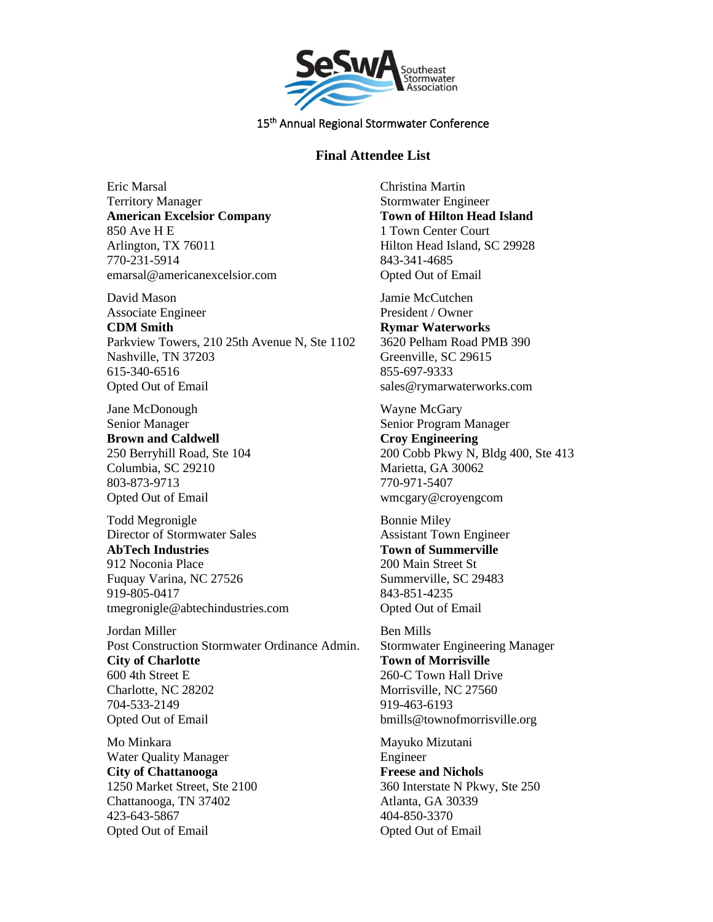

## **Final Attendee List**

Eric Marsal Territory Manager **American Excelsior Company** 850 Ave H E Arlington, TX 76011 770-231-5914 emarsal@americanexcelsior.com

David Mason Associate Engineer

**CDM Smith** Parkview Towers, 210 25th Avenue N, Ste 1102 Nashville, TN 37203 615-340-6516 Opted Out of Email

Jane McDonough Senior Manager **Brown and Caldwell** 250 Berryhill Road, Ste 104 Columbia, SC 29210 803-873-9713 Opted Out of Email

Todd Megronigle Director of Stormwater Sales **AbTech Industries** 912 Noconia Place Fuquay Varina, NC 27526 919-805-0417 tmegronigle@abtechindustries.com

Jordan Miller Post Construction Stormwater Ordinance Admin. **City of Charlotte** 600 4th Street E Charlotte, NC 28202 704-533-2149 Opted Out of Email

Mo Minkara Water Quality Manager **City of Chattanooga** 1250 Market Street, Ste 2100 Chattanooga, TN 37402 423-643-5867 Opted Out of Email

Christina Martin Stormwater Engineer **Town of Hilton Head Island** 1 Town Center Court Hilton Head Island, SC 29928 843-341-4685 Opted Out of Email

Jamie McCutchen President / Owner **Rymar Waterworks** 3620 Pelham Road PMB 390 Greenville, SC 29615 855-697-9333 sales@rymarwaterworks.com

Wayne McGary Senior Program Manager **Croy Engineering** 200 Cobb Pkwy N, Bldg 400, Ste 413 Marietta, GA 30062 770-971-5407 wmcgary@croyengcom

Bonnie Miley Assistant Town Engineer **Town of Summerville** 200 Main Street St Summerville, SC 29483 843-851-4235 Opted Out of Email

Ben Mills Stormwater Engineering Manager **Town of Morrisville** 260-C Town Hall Drive Morrisville, NC 27560 919-463-6193 bmills@townofmorrisville.org

Mayuko Mizutani Engineer **Freese and Nichols** 360 Interstate N Pkwy, Ste 250 Atlanta, GA 30339 404-850-3370 Opted Out of Email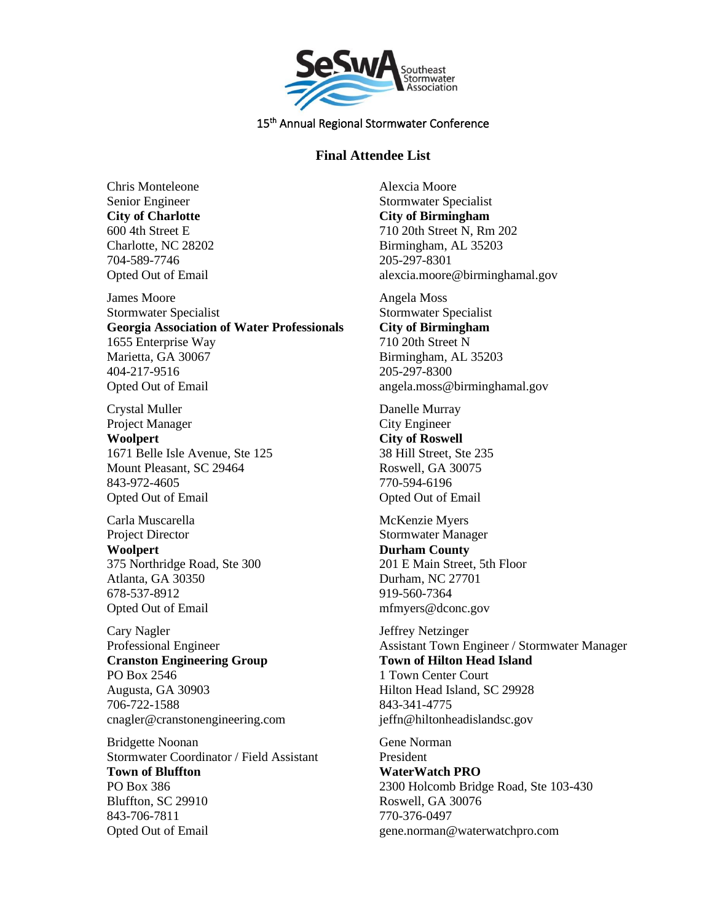

## **Final Attendee List**

Chris Monteleone Senior Engineer **City of Charlotte** 600 4th Street E Charlotte, NC 28202 704-589-7746 Opted Out of Email

James Moore Stormwater Specialist **Georgia Association of Water Professionals** 1655 Enterprise Way Marietta, GA 30067 404-217-9516 Opted Out of Email

Crystal Muller Project Manager **Woolpert** 1671 Belle Isle Avenue, Ste 125 Mount Pleasant, SC 29464 843-972-4605 Opted Out of Email

Carla Muscarella Project Director **Woolpert** 375 Northridge Road, Ste 300 Atlanta, GA 30350 678-537-8912 Opted Out of Email

Cary Nagler Professional Engineer **Cranston Engineering Group** PO Box 2546 Augusta, GA 30903 706-722-1588 cnagler@cranstonengineering.com

Bridgette Noonan Stormwater Coordinator / Field Assistant **Town of Bluffton** PO Box 386 Bluffton, SC 29910 843-706-7811 Opted Out of Email

Alexcia Moore Stormwater Specialist **City of Birmingham** 710 20th Street N, Rm 202 Birmingham, AL 35203 205-297-8301 alexcia.moore@birminghamal.gov

Angela Moss Stormwater Specialist **City of Birmingham** 710 20th Street N Birmingham, AL 35203 205-297-8300 angela.moss@birminghamal.gov

Danelle Murray City Engineer **City of Roswell** 38 Hill Street, Ste 235 Roswell, GA 30075 770-594-6196 Opted Out of Email

McKenzie Myers Stormwater Manager **Durham County** 201 E Main Street, 5th Floor Durham, NC 27701 919-560-7364 mfmyers@dconc.gov

Jeffrey Netzinger Assistant Town Engineer / Stormwater Manager **Town of Hilton Head Island** 1 Town Center Court Hilton Head Island, SC 29928 843-341-4775 jeffn@hiltonheadislandsc.gov

Gene Norman President **WaterWatch PRO** 2300 Holcomb Bridge Road, Ste 103-430 Roswell, GA 30076 770-376-0497 gene.norman@waterwatchpro.com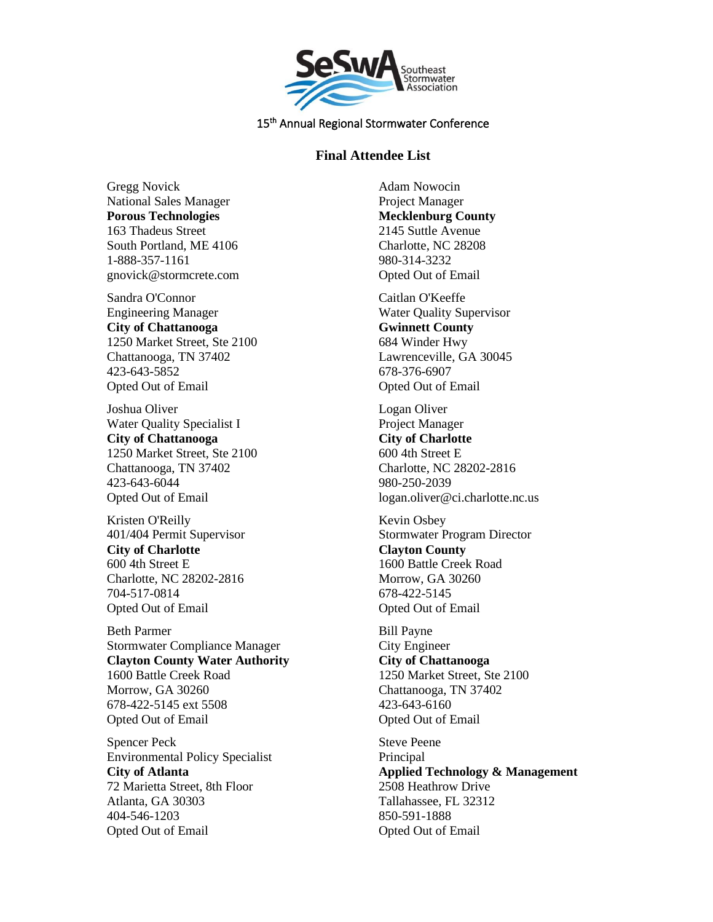

## **Final Attendee List**

Gregg Novick National Sales Manager **Porous Technologies** 163 Thadeus Street South Portland, ME 4106 1-888-357-1161 gnovick@stormcrete.com

Sandra O'Connor Engineering Manager **City of Chattanooga** 1250 Market Street, Ste 2100 Chattanooga, TN 37402 423-643-5852 Opted Out of Email

Joshua Oliver Water Quality Specialist I **City of Chattanooga** 1250 Market Street, Ste 2100 Chattanooga, TN 37402 423-643-6044 Opted Out of Email

Kristen O'Reilly 401/404 Permit Supervisor **City of Charlotte** 600 4th Street E Charlotte, NC 28202-2816 704-517-0814 Opted Out of Email

Beth Parmer Stormwater Compliance Manager **Clayton County Water Authority** 1600 Battle Creek Road Morrow, GA 30260 678-422-5145 ext 5508 Opted Out of Email

Spencer Peck Environmental Policy Specialist **City of Atlanta** 72 Marietta Street, 8th Floor Atlanta, GA 30303 404-546-1203 Opted Out of Email

Adam Nowocin Project Manager **Mecklenburg County** 2145 Suttle Avenue Charlotte, NC 28208 980-314-3232 Opted Out of Email

Caitlan O'Keeffe Water Quality Supervisor **Gwinnett County** 684 Winder Hwy Lawrenceville, GA 30045 678-376-6907 Opted Out of Email

Logan Oliver Project Manager **City of Charlotte** 600 4th Street E Charlotte, NC 28202-2816 980-250-2039 logan.oliver@ci.charlotte.nc.us

Kevin Osbey Stormwater Program Director **Clayton County** 1600 Battle Creek Road Morrow, GA 30260 678-422-5145 Opted Out of Email

Bill Payne City Engineer **City of Chattanooga** 1250 Market Street, Ste 2100 Chattanooga, TN 37402 423-643-6160 Opted Out of Email

Steve Peene Principal **Applied Technology & Management** 2508 Heathrow Drive Tallahassee, FL 32312 850-591-1888 Opted Out of Email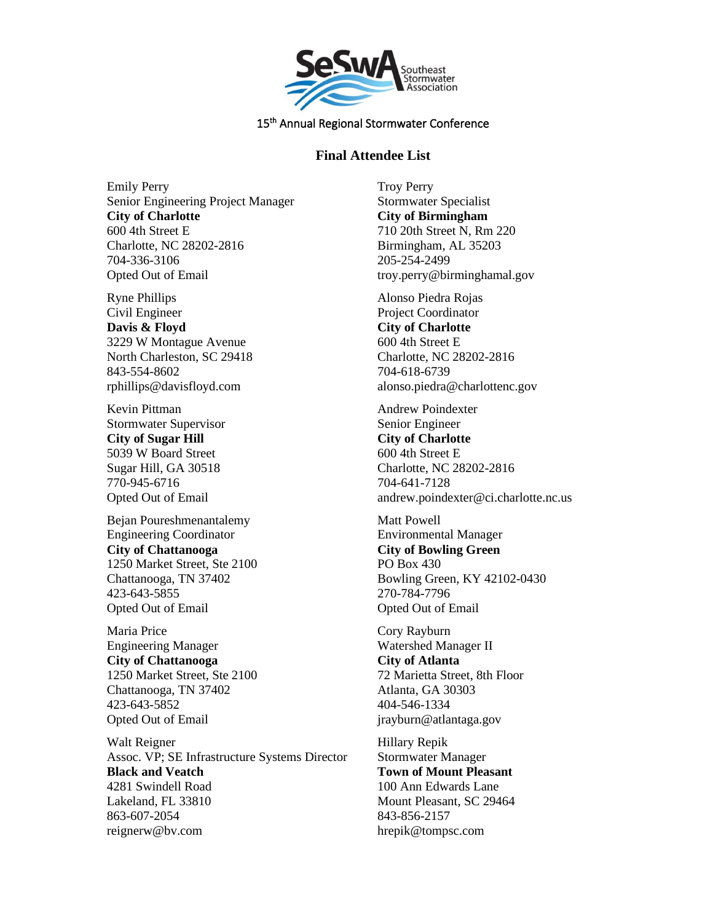

# **Final Attendee List**

Emily Perry Senior Engineering Project Manager **City of Charlotte** 600 4th Street E Charlotte, NC 28202-2816 704-336-3106 Opted Out of Email

Ryne Phillips Civil Engineer **Davis & Floyd** 3229 W Montague Avenue North Charleston, SC 29418 843-554-8602 rphillips@davisfloyd.com

Kevin Pittman Stormwater Supervisor **City of Sugar Hill** 5039 W Board Street Sugar Hill, GA 30518 770-945-6716 Opted Out of Email

Bejan Poureshmenantalemy Engineering Coordinator **City of Chattanooga** 1250 Market Street, Ste 2100 Chattanooga, TN 37402 423-643-5855 Opted Out of Email

Maria Price Engineering Manager **City of Chattanooga** 1250 Market Street, Ste 2100 Chattanooga, TN 37402 423-643-5852 Opted Out of Email

Walt Reigner Assoc. VP; SE Infrastructure Systems Director **Black and Veatch** 4281 Swindell Road Lakeland, FL 33810 863-607-2054 reignerw@bv.com

Troy Perry Stormwater Specialist **City of Birmingham** 710 20th Street N, Rm 220 Birmingham, AL 35203 205-254-2499 troy.perry@birminghamal.gov

Alonso Piedra Rojas Project Coordinator **City of Charlotte** 600 4th Street E Charlotte, NC 28202-2816 704-618-6739 alonso.piedra@charlottenc.gov

Andrew Poindexter Senior Engineer **City of Charlotte** 600 4th Street E Charlotte, NC 28202-2816 704-641-7128 andrew.poindexter@ci.charlotte.nc.us

Matt Powell Environmental Manager **City of Bowling Green** PO Box 430 Bowling Green, KY 42102-0430 270-784-7796 Opted Out of Email

Cory Rayburn Watershed Manager II **City of Atlanta** 72 Marietta Street, 8th Floor Atlanta, GA 30303 404-546-1334 jrayburn@atlantaga.gov

Hillary Repik Stormwater Manager **Town of Mount Pleasant** 100 Ann Edwards Lane Mount Pleasant, SC 29464 843-856-2157 hrepik@tompsc.com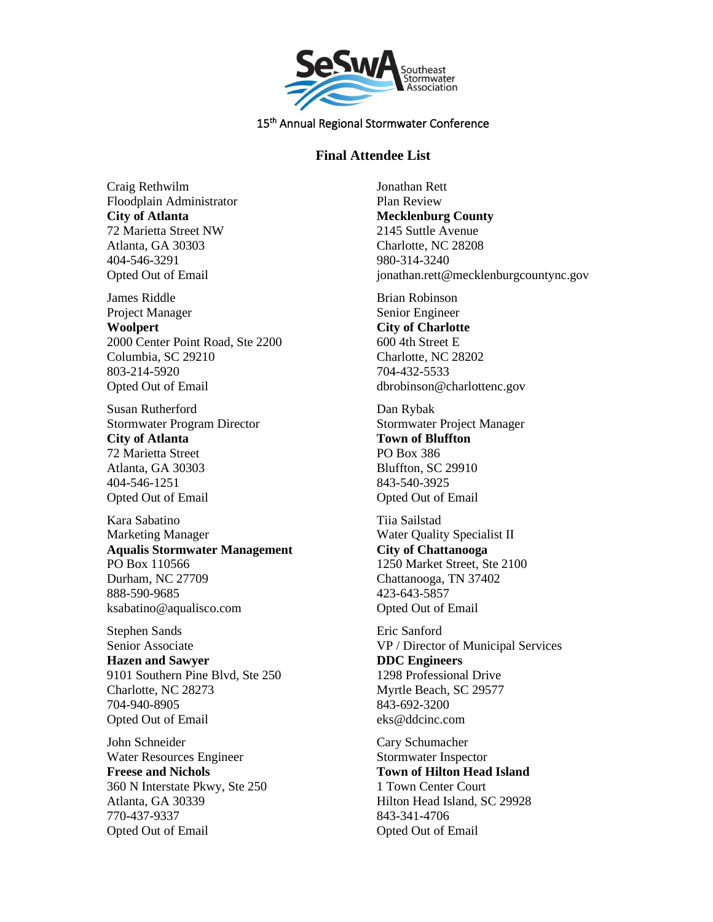

### **Final Attendee List**

Craig Rethwilm Floodplain Administrator **City of Atlanta** 72 Marietta Street NW Atlanta, GA 30303 404-546-3291 Opted Out of Email

James Riddle Project Manager **Woolpert** 2000 Center Point Road, Ste 2200 Columbia, SC 29210 803-214-5920 Opted Out of Email

Susan Rutherford Stormwater Program Director **City of Atlanta** 72 Marietta Street Atlanta, GA 30303 404-546-1251 Opted Out of Email

Kara Sabatino Marketing Manager **Aqualis Stormwater Management** PO Box 110566 Durham, NC 27709 888-590-9685 ksabatino@aqualisco.com

Stephen Sands Senior Associate **Hazen and Sawyer** 9101 Southern Pine Blvd, Ste 250 Charlotte, NC 28273 704-940-8905 Opted Out of Email

John Schneider Water Resources Engineer **Freese and Nichols** 360 N Interstate Pkwy, Ste 250 Atlanta, GA 30339 770-437-9337 Opted Out of Email

Jonathan Rett Plan Review **Mecklenburg County** 2145 Suttle Avenue Charlotte, NC 28208 980-314-3240 jonathan.rett@mecklenburgcountync.gov Brian Robinson Senior Engineer **City of Charlotte** 600 4th Street E Charlotte, NC 28202 704-432-5533 dbrobinson@charlottenc.gov Dan Rybak Stormwater Project Manager **Town of Bluffton** PO Box 386 Bluffton, SC 29910 843-540-3925 Opted Out of Email Tiia Sailstad Water Quality Specialist II **City of Chattanooga** 1250 Market Street, Ste 2100 Chattanooga, TN 37402 423-643-5857 Opted Out of Email Eric Sanford VP / Director of Municipal Services **DDC Engineers** 1298 Professional Drive Myrtle Beach, SC 29577 843-692-3200 eks@ddcinc.com Cary Schumacher Stormwater Inspector

**Town of Hilton Head Island** 1 Town Center Court Hilton Head Island, SC 29928 843-341-4706 Opted Out of Email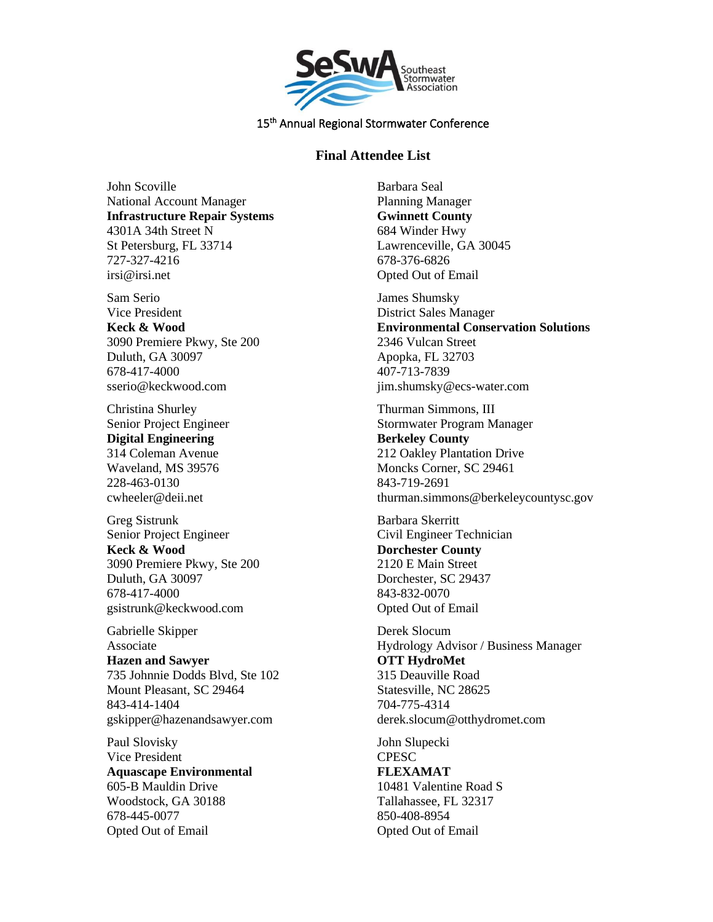

### **Final Attendee List**

John Scoville National Account Manager **Infrastructure Repair Systems** 4301A 34th Street N St Petersburg, FL 33714 727-327-4216 irsi@irsi.net

Sam Serio Vice President **Keck & Wood** 3090 Premiere Pkwy, Ste 200 Duluth, GA 30097 678-417-4000 sserio@keckwood.com

Christina Shurley Senior Project Engineer **Digital Engineering** 314 Coleman Avenue Waveland, MS 39576 228-463-0130 cwheeler@deii.net

Greg Sistrunk Senior Project Engineer **Keck & Wood** 3090 Premiere Pkwy, Ste 200 Duluth, GA 30097 678-417-4000 gsistrunk@keckwood.com

Gabrielle Skipper Associate **Hazen and Sawyer** 735 Johnnie Dodds Blvd, Ste 102 Mount Pleasant, SC 29464 843-414-1404 gskipper@hazenandsawyer.com

Paul Slovisky Vice President **Aquascape Environmental** 605-B Mauldin Drive Woodstock, GA 30188 678-445-0077 Opted Out of Email

Barbara Seal Planning Manager **Gwinnett County** 684 Winder Hwy Lawrenceville, GA 30045 678-376-6826 Opted Out of Email

James Shumsky District Sales Manager **Environmental Conservation Solutions** 2346 Vulcan Street Apopka, FL 32703 407-713-7839 jim.shumsky@ecs-water.com

Thurman Simmons, III Stormwater Program Manager **Berkeley County** 212 Oakley Plantation Drive Moncks Corner, SC 29461 843-719-2691 thurman.simmons@berkeleycountysc.gov

Barbara Skerritt Civil Engineer Technician **Dorchester County** 2120 E Main Street Dorchester, SC 29437 843-832-0070 Opted Out of Email

Derek Slocum Hydrology Advisor / Business Manager **OTT HydroMet** 315 Deauville Road Statesville, NC 28625 704-775-4314 derek.slocum@otthydromet.com

John Slupecki **CPESC FLEXAMAT** 10481 Valentine Road S Tallahassee, FL 32317 850-408-8954 Opted Out of Email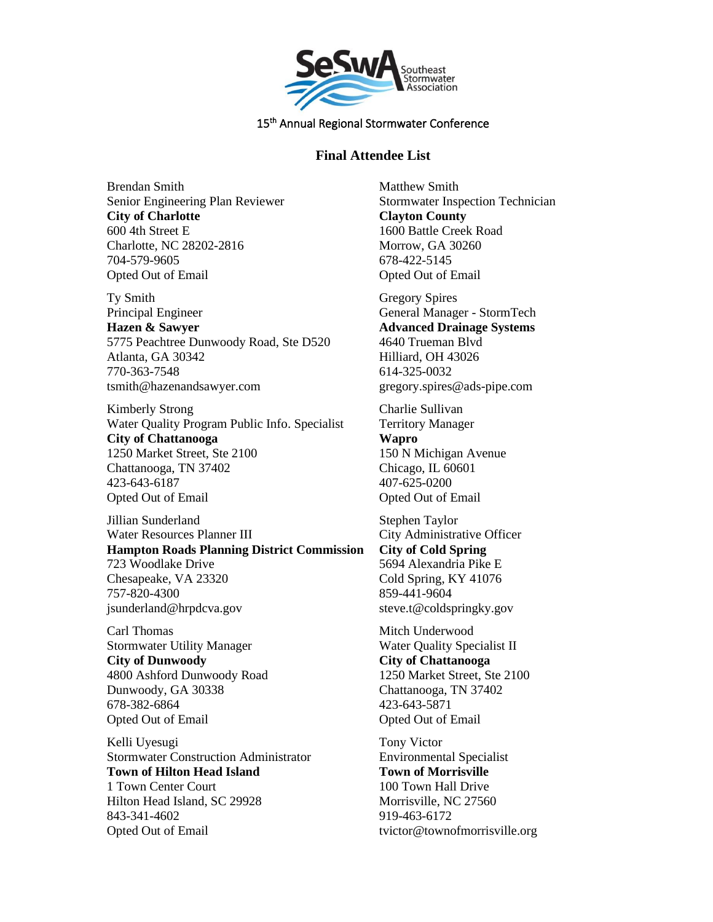

## **Final Attendee List**

Brendan Smith Senior Engineering Plan Reviewer **City of Charlotte** 600 4th Street E Charlotte, NC 28202-2816 704-579-9605 Opted Out of Email

Ty Smith Principal Engineer **Hazen & Sawyer** 5775 Peachtree Dunwoody Road, Ste D520 Atlanta, GA 30342 770-363-7548 tsmith@hazenandsawyer.com

Kimberly Strong Water Quality Program Public Info. Specialist **City of Chattanooga** 1250 Market Street, Ste 2100 Chattanooga, TN 37402 423-643-6187 Opted Out of Email

Jillian Sunderland Water Resources Planner III **Hampton Roads Planning District Commission** 723 Woodlake Drive Chesapeake, VA 23320 757-820-4300 jsunderland@hrpdcva.gov

Carl Thomas Stormwater Utility Manager **City of Dunwoody** 4800 Ashford Dunwoody Road Dunwoody, GA 30338 678-382-6864 Opted Out of Email

Kelli Uyesugi Stormwater Construction Administrator **Town of Hilton Head Island** 1 Town Center Court Hilton Head Island, SC 29928 843-341-4602 Opted Out of Email

Matthew Smith Stormwater Inspection Technician **Clayton County** 1600 Battle Creek Road Morrow, GA 30260 678-422-5145 Opted Out of Email

Gregory Spires General Manager - StormTech **Advanced Drainage Systems** 4640 Trueman Blvd Hilliard, OH 43026 614-325-0032 gregory.spires@ads-pipe.com

Charlie Sullivan Territory Manager **Wapro** 150 N Michigan Avenue Chicago, IL 60601 407-625-0200 Opted Out of Email

Stephen Taylor City Administrative Officer **City of Cold Spring** 5694 Alexandria Pike E Cold Spring, KY 41076 859-441-9604 steve.t@coldspringky.gov

Mitch Underwood Water Quality Specialist II **City of Chattanooga** 1250 Market Street, Ste 2100 Chattanooga, TN 37402 423-643-5871 Opted Out of Email

Tony Victor Environmental Specialist **Town of Morrisville** 100 Town Hall Drive Morrisville, NC 27560 919-463-6172 tvictor@townofmorrisville.org